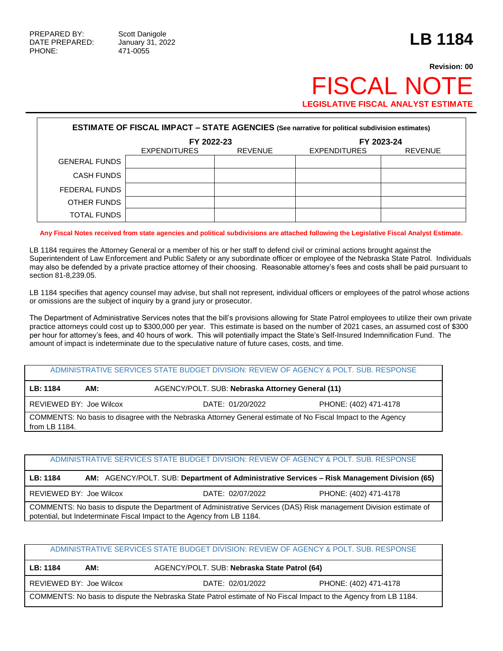## **Revision: 00 FISCAL NO LEGISLATIVE FISCAL ANALYST ESTIMATE**

| <b>ESTIMATE OF FISCAL IMPACT - STATE AGENCIES (See narrative for political subdivision estimates)</b> |                                       |  |                     |                |  |  |
|-------------------------------------------------------------------------------------------------------|---------------------------------------|--|---------------------|----------------|--|--|
|                                                                                                       | FY 2022-23                            |  |                     | FY 2023-24     |  |  |
|                                                                                                       | <b>EXPENDITURES</b><br><b>REVENUE</b> |  | <b>EXPENDITURES</b> | <b>REVENUE</b> |  |  |
| <b>GENERAL FUNDS</b>                                                                                  |                                       |  |                     |                |  |  |
| <b>CASH FUNDS</b>                                                                                     |                                       |  |                     |                |  |  |
| FEDERAL FUNDS                                                                                         |                                       |  |                     |                |  |  |
| OTHER FUNDS                                                                                           |                                       |  |                     |                |  |  |
| <b>TOTAL FUNDS</b>                                                                                    |                                       |  |                     |                |  |  |

**Any Fiscal Notes received from state agencies and political subdivisions are attached following the Legislative Fiscal Analyst Estimate.**

LB 1184 requires the Attorney General or a member of his or her staff to defend civil or criminal actions brought against the Superintendent of Law Enforcement and Public Safety or any subordinate officer or employee of the Nebraska State Patrol. Individuals may also be defended by a private practice attorney of their choosing. Reasonable attorney's fees and costs shall be paid pursuant to section 81-8,239.05.

LB 1184 specifies that agency counsel may advise, but shall not represent, individual officers or employees of the patrol whose actions or omissions are the subject of inquiry by a grand jury or prosecutor.

The Department of Administrative Services notes that the bill's provisions allowing for State Patrol employees to utilize their own private practice attorneys could cost up to \$300,000 per year. This estimate is based on the number of 2021 cases, an assumed cost of \$300 per hour for attorney's fees, and 40 hours of work. This will potentially impact the State's Self-Insured Indemnification Fund. The amount of impact is indeterminate due to the speculative nature of future cases, costs, and time.

|                                                                                                                               |                         | ADMINISTRATIVE SERVICES STATE BUDGET DIVISION: REVIEW OF AGENCY & POLT. SUB. RESPONSE |                       |  |  |
|-------------------------------------------------------------------------------------------------------------------------------|-------------------------|---------------------------------------------------------------------------------------|-----------------------|--|--|
| LB: 1184                                                                                                                      | AM:                     | AGENCY/POLT. SUB: Nebraska Attorney General (11)                                      |                       |  |  |
|                                                                                                                               | REVIEWED BY: Joe Wilcox | DATE: 01/20/2022                                                                      | PHONE: (402) 471-4178 |  |  |
| COMMENTS: No basis to disagree with the Nebraska Attorney General estimate of No Fiscal Impact to the Agency<br>from LB 1184. |                         |                                                                                       |                       |  |  |

|                         | ADMINISTRATIVE SERVICES STATE BUDGET DIVISION: REVIEW OF AGENCY & POLT, SUB, RESPONSE |                                                                                                                    |
|-------------------------|---------------------------------------------------------------------------------------|--------------------------------------------------------------------------------------------------------------------|
| LB: 1184                |                                                                                       | AM: AGENCY/POLT. SUB: Department of Administrative Services – Risk Management Division (65)                        |
| REVIEWED BY: Joe Wilcox | DATE: 02/07/2022                                                                      | PHONE: (402) 471-4178                                                                                              |
|                         | potential, but Indeterminate Fiscal Impact to the Agency from LB 1184.                | COMMENTS: No basis to dispute the Department of Administrative Services (DAS) Risk management Division estimate of |

|                                                                                                                  |     | ADMINISTRATIVE SERVICES STATE BUDGET DIVISION: REVIEW OF AGENCY & POLT. SUB. RESPONSE |  |  |  |
|------------------------------------------------------------------------------------------------------------------|-----|---------------------------------------------------------------------------------------|--|--|--|
| LB: 1184                                                                                                         | AM: | AGENCY/POLT. SUB: Nebraska State Patrol (64)                                          |  |  |  |
| REVIEWED BY: Joe Wilcox                                                                                          |     | DATE: 02/01/2022<br>PHONE: (402) 471-4178                                             |  |  |  |
| COMMENTS: No basis to dispute the Nebraska State Patrol estimate of No Fiscal Impact to the Agency from LB 1184. |     |                                                                                       |  |  |  |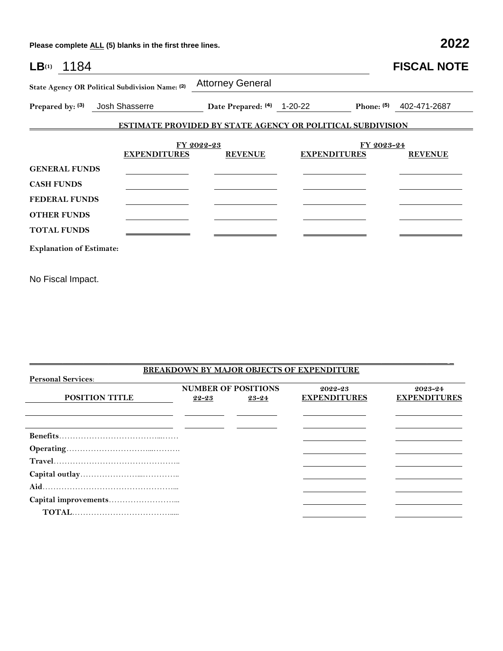**Please complete ALL (5) blanks in the first three lines. 2022**

| $LB(1)$ 1184                                    |                     |                                                                   |                     |            | <b>FISCAL NOTE</b> |
|-------------------------------------------------|---------------------|-------------------------------------------------------------------|---------------------|------------|--------------------|
| State Agency OR Political Subdivision Name: (2) |                     | <b>Attorney General</b>                                           |                     |            |                    |
| Prepared by: (3)                                | Josh Shasserre      | Date Prepared: (4) 1-20-22                                        |                     | Phone: (5) | 402-471-2687       |
|                                                 |                     | <b>ESTIMATE PROVIDED BY STATE AGENCY OR POLITICAL SUBDIVISION</b> |                     |            |                    |
|                                                 |                     | FY 2022-23                                                        |                     | FY 2023-24 |                    |
|                                                 | <b>EXPENDITURES</b> | <b>REVENUE</b>                                                    | <b>EXPENDITURES</b> |            | <b>REVENUE</b>     |
| <b>GENERAL FUNDS</b>                            |                     |                                                                   |                     |            |                    |
| <b>CASH FUNDS</b>                               |                     |                                                                   |                     |            |                    |
| <b>FEDERAL FUNDS</b>                            |                     |                                                                   |                     |            |                    |
| <b>OTHER FUNDS</b>                              |                     |                                                                   |                     |            |                    |
| <b>TOTAL FUNDS</b>                              |                     |                                                                   |                     |            |                    |
| <b>Explanation of Estimate:</b>                 |                     |                                                                   |                     |            |                    |

No Fiscal Impact.

|                           |                            |       | <b>BREAKDOWN BY MAJOR OBJECTS OF EXPENDITURE</b> |                     |
|---------------------------|----------------------------|-------|--------------------------------------------------|---------------------|
| <b>Personal Services:</b> |                            |       |                                                  |                     |
|                           | <b>NUMBER OF POSITIONS</b> |       | 2022-23                                          | $2023 - 24$         |
| <b>POSITION TITLE</b>     | 22-23                      | 23-24 | <b>EXPENDITURES</b>                              | <b>EXPENDITURES</b> |
|                           |                            |       |                                                  |                     |
|                           |                            |       |                                                  |                     |
|                           |                            |       |                                                  |                     |
|                           |                            |       |                                                  |                     |
|                           |                            |       |                                                  |                     |
|                           |                            |       |                                                  |                     |
|                           |                            |       |                                                  |                     |
|                           |                            |       |                                                  |                     |
|                           |                            |       |                                                  |                     |
|                           |                            |       |                                                  |                     |
|                           |                            |       |                                                  |                     |
|                           |                            |       |                                                  |                     |

 $\mathcal{L}_\mathcal{L} = \{ \mathcal{L}_\mathcal{L} = \{ \mathcal{L}_\mathcal{L} = \{ \mathcal{L}_\mathcal{L} = \{ \mathcal{L}_\mathcal{L} = \{ \mathcal{L}_\mathcal{L} = \{ \mathcal{L}_\mathcal{L} = \{ \mathcal{L}_\mathcal{L} = \{ \mathcal{L}_\mathcal{L} = \{ \mathcal{L}_\mathcal{L} = \{ \mathcal{L}_\mathcal{L} = \{ \mathcal{L}_\mathcal{L} = \{ \mathcal{L}_\mathcal{L} = \{ \mathcal{L}_\mathcal{L} = \{ \mathcal{L}_\mathcal{$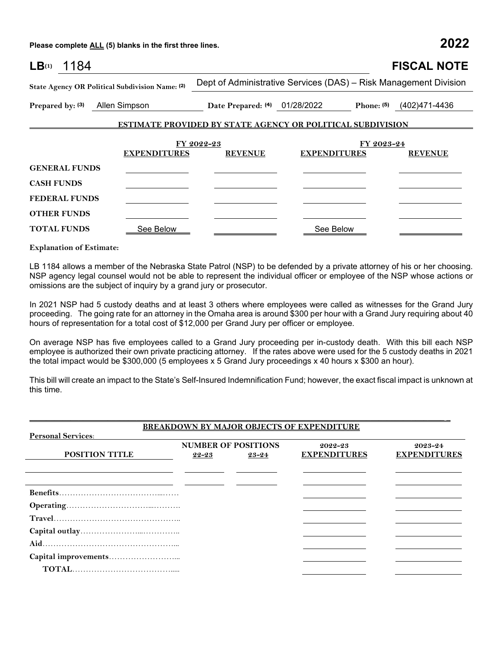**Please complete ALL (5) blanks in the first three lines. 2022**

| LB(1)<br>1184                                   |                                                            |                                                                  |            | <b>FISCAL NOTE</b>           |
|-------------------------------------------------|------------------------------------------------------------|------------------------------------------------------------------|------------|------------------------------|
| State Agency OR Political Subdivision Name: (2) |                                                            | Dept of Administrative Services (DAS) - Risk Management Division |            |                              |
| Prepared by: (3)<br>Allen Simpson               |                                                            | Date Prepared: (4) 01/28/2022                                    |            | Phone: $(5)$ $(402)471-4436$ |
|                                                 | ESTIMATE PROVIDED BY STATE AGENCY OR POLITICAL SUBDIVISION |                                                                  |            |                              |
|                                                 |                                                            |                                                                  |            |                              |
|                                                 | FY 2022-23<br><b>EXPENDITURES</b><br><b>REVENUE</b>        | <b>EXPENDITURES</b>                                              | FY 2023-24 | <b>REVENUE</b>               |
| <b>GENERAL FUNDS</b>                            |                                                            |                                                                  |            |                              |
| <b>CASH FUNDS</b>                               |                                                            |                                                                  |            |                              |
| <b>FEDERAL FUNDS</b>                            |                                                            |                                                                  |            |                              |
| <b>OTHER FUNDS</b>                              |                                                            |                                                                  |            |                              |
| <b>TOTAL FUNDS</b>                              | See Below                                                  |                                                                  | See Below  |                              |

**Explanation of Estimate:**

LB 1184 allows a member of the Nebraska State Patrol (NSP) to be defended by a private attorney of his or her choosing. NSP agency legal counsel would not be able to represent the individual officer or employee of the NSP whose actions or omissions are the subject of inquiry by a grand jury or prosecutor.

In 2021 NSP had 5 custody deaths and at least 3 others where employees were called as witnesses for the Grand Jury proceeding. The going rate for an attorney in the Omaha area is around \$300 per hour with a Grand Jury requiring about 40 hours of representation for a total cost of \$12,000 per Grand Jury per officer or employee.

On average NSP has five employees called to a Grand Jury proceeding per in-custody death. With this bill each NSP employee is authorized their own private practicing attorney. If the rates above were used for the 5 custody deaths in 2021 the total impact would be \$300,000 (5 employees x 5 Grand Jury proceedings x 40 hours x \$300 an hour).

This bill will create an impact to the State's Self-Insured Indemnification Fund; however, the exact fiscal impact is unknown at this time.

|                           |       |                            | <b>BREAKDOWN BY MAJOR OBJECTS OF EXPENDITURE</b> |                     |
|---------------------------|-------|----------------------------|--------------------------------------------------|---------------------|
| <b>Personal Services:</b> |       |                            |                                                  |                     |
|                           |       | <b>NUMBER OF POSITIONS</b> | 2022-23                                          | $2023 - 24$         |
| <b>POSITION TITLE</b>     | 22-23 | 23-24                      | <b>EXPENDITURES</b>                              | <b>EXPENDITURES</b> |
|                           |       |                            |                                                  |                     |
|                           |       |                            |                                                  |                     |
|                           |       |                            |                                                  |                     |
|                           |       |                            |                                                  |                     |
|                           |       |                            |                                                  |                     |
|                           |       |                            |                                                  |                     |
|                           |       |                            |                                                  |                     |
|                           |       |                            |                                                  |                     |
|                           |       |                            |                                                  |                     |
|                           |       |                            |                                                  |                     |